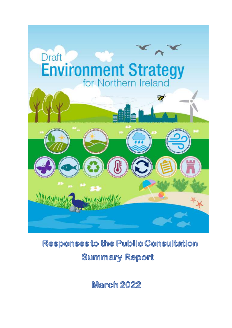

# **Responses to the Public Consultation Summary Report**

**March 2022**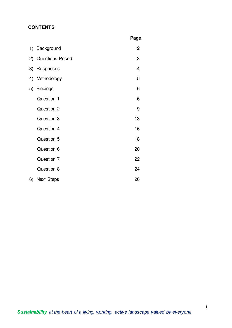# **CONTENTS**

|    |                        | Page |
|----|------------------------|------|
| 1) | Background             | 2    |
| 2) | <b>Questions Posed</b> | 3    |
| 3) | Responses              | 4    |
| 4) | Methodology            | 5    |
| 5) | Findings               | 6    |
|    | Question 1             | 6    |
|    | Question 2             | 9    |
|    | Question 3             | 13   |
|    | Question 4             | 16   |
|    | Question 5             | 18   |
|    | Question 6             | 20   |
|    | Question 7             | 22   |
|    | Question 8             | 24   |
| 6) | <b>Next Steps</b>      | 26   |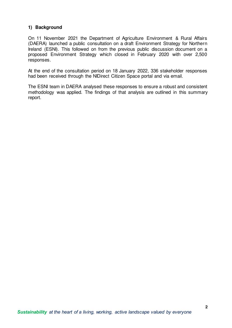## **1) Background**

On 11 November 2021 the Department of Agriculture Environment & Rural Affairs (DAERA) launched a public consultation on a draft Environment Strategy for Northern Ireland (ESNI). This followed on from the previous public discussion document on a proposed Environment Strategy which closed in February 2020 with over 2,500 responses.

At the end of the consultation period on 18 January 2022, 336 stakeholder responses had been received through the NIDirect Citizen Space portal and via email.

The ESNI team in DAERA analysed these responses to ensure a robust and consistent methodology was applied. The findings of that analysis are outlined in this summary report.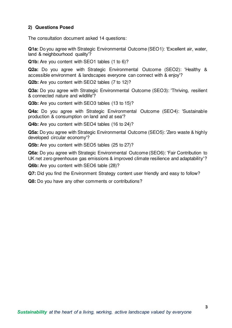# **2) Questions Posed**

The consultation document asked 14 questions:

**Q1a:** Do you agree with Strategic Environmental Outcome (SEO1): 'Excellent air, water, land & neighbourhood quality'?

**Q1b:** Are you content with SEO1 tables (1 to 6)?

**Q2a:** Do you agree with Strategic Environmental Outcome (SEO2): 'Healthy & accessible environment & landscapes everyone can connect with & enjoy'?

**Q2b:** Are you content with SEO2 tables (7 to 12)?

**Q3a:** Do you agree with Strategic Environmental Outcome (SEO3): 'Thriving, resilient & connected nature and wildlife'?

**Q3b:** Are you content with SEO3 tables (13 to 15)?

**Q4a:** Do you agree with Strategic Environmental Outcome (SEO4): 'Sustainable production & consumption on land and at sea'?

**Q4b:** Are you content with SEO4 tables (16 to 24)?

**Q5a:** Do you agree with Strategic Environmental Outcome (SEO5): 'Zero waste & highly developed circular economy'?

**Q5b:** Are you content with SEO5 tables (25 to 27)?

**Q6a:** Do you agree with Strategic Environmental Outcome (SEO6): 'Fair Contribution to UK net zero greenhouse gas emissions & improved climate resilience and adaptability'?

**Q6b:** Are you content with SEO6 table (28)?

**Q7:** Did you find the Environment Strategy content user friendly and easy to follow?

**Q8:** Do you have any other comments or contributions?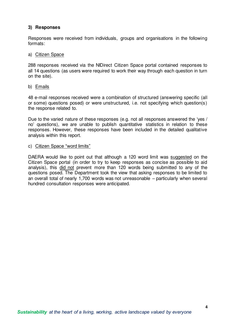## **3) Responses**

Responses were received from individuals, groups and organisations in the following formats:

#### a) Citizen Space

288 responses received via the NIDirect Citizen Space portal contained responses to all 14 questions (as users were required to work their way through each question in turn on the site).

#### b) Emails

48 e-mail responses received were a combination of structured (answering specific (all or some) questions posed) or were unstructured, i.e. not specifying which question(s) the response related to.

Due to the varied nature of these responses (e.g. not all responses answered the 'yes / no' questions), we are unable to publish quantitative statistics in relation to these responses. However, these responses have been included in the detailed qualitative analysis within this report.

c) Citizen Space "word limits"

DAERA would like to point out that although a 120 word limit was suggested on the Citizen Space portal (in order to try to keep responses as concise as possible to aid analysis), this did not prevent more than 120 words being submitted to any of the questions posed. The Department took the view that asking responses to be limited to an overall total of nearly 1,700 words was not unreasonable – particularly when several hundred consultation responses were anticipated.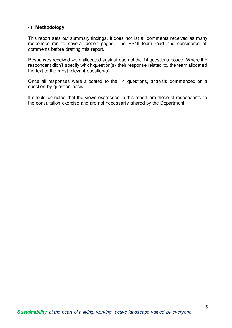# **4) Methodology**

This report sets out summary findings, it does not list all comments received as many responses ran to several dozen pages. The ESNI team read and considered all comments before drafting this report.

Responses received were allocated against each of the 14 questions posed. Where the respondent didn't specify which question(s) their response related to, the team allocated the text to the most relevant question(s).

Once all responses were allocated to the 14 questions, analysis commenced on a question by question basis.

It should be noted that the views expressed in this report are those of respondents to the consultation exercise and are not necessarily shared by the Department.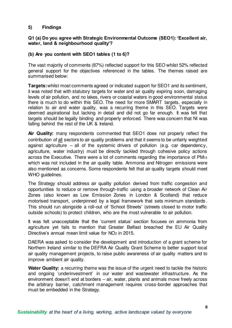## **5) Findings**

#### **Q1 (a) Do you agree with Strategic Environmental Outcome (SEO1): 'Excellent air, water, land & neighbourhood quality'?**

## **(b) Are you content with SEO1 tables (1 to 6)?**

The vast majority of comments (87%) reflected support for this SEO whilst 52% reflected general support for the objectives referenced in the tables. The themes raised are summarised below:

**Targets:** whilst most comments agreed or indicated support for SEO1 and its sentiment, it was noted that with statutory targets for water and air quality expiring soon, damaging levels of air pollution, and no lakes, rivers or coastal waters in good environmental status there is much to do within this SEO. The need for more SMART targets, especially in relation to air and water quality, was a recurring theme in this SEO. Targets were deemed aspirational but lacking in detail and did not go far enough. It was felt that targets should be legally binding and properly enforced. There was concern that NI was falling behind the rest of the UK & Ireland.

**Air Quality:** many respondents commented that SEO1 does not properly reflect the contribution of all sectors to air quality problems and that it seems to be unfairly weighted against agriculture – all of the systemic drivers of pollution (e.g. car dependency, agriculture, water industry) must be directly tackled through cohesive policy actions across the Executive. There were a lot of comments regarding the importance of PM<sup>10</sup> which was not included in the air quality table. Ammonia and Nitrogen emissions were also mentioned as concerns. Some respondents felt that air quality targets should meet WHO guidelines.

The Strategy should address air quality pollution derived from traffic congestion and opportunities to reduce or remove through-traffic using a broader network of Clean Air Zones (also known as Low Emission Zones in London & Scotland) that reduce motorised transport, underpinned by a legal framework that sets minimum standards . This should run alongside a roll-out of 'School Streets' (streets closed to motor traffic outside schools) to protect children, who are the most vulnerable to air pollution.

It was felt unacceptable that the 'current status' section focuses on ammonia from agriculture yet fails to mention that Greater Belfast breached the EU Air Quality Directive's annual mean limit value for NO<sub>2</sub> in 2015.

DAERA was asked to consider the development and introduction of a grant scheme for Northern Ireland similar to the DEFRA Air Quality Grant Scheme to better support local air quality management projects, to raise public awareness of air quality matters and to improve ambient air quality.

**Water Quality:** a recurring theme was the issue of the urgent need to tackle the historic and ongoing 'underinvestment' in our water and wastewater infrastructure. As the environment doesn't end at borders – air, water, plants and animals move freely across the arbitrary barrier, catchment management requires cross-border approaches that must be embedded in the Strategy.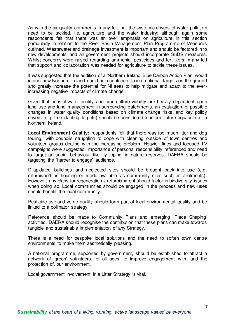As with the air quality comments, many felt that the systemic drivers of water pollution need to be tackled, i.e. agriculture and the water industry; although again some respondents felt that there was an over emphasis on agriculture in this section particularly in relation to the River Basin Management Plan Programme of Measures outlined. Wastewater and drainage investment is important and should be factored in to new developments and all government projects should incorporate SuDS measures. Whilst concerns were raised regarding ammonia, pesticides and fertilizers, many felt that support and collaboration was needed for agriculture to tackle these issues.

It was suggested that the addition of a 'Northern Ireland Blue Carbon Action Plan' would inform how Northern Ireland could help contribute to international targets on the ground and greatly increase the potential for NI seas to help mitigate and adapt to the everincreasing negative impacts of climate change.

Given that coastal water quality and mari-culture viability are heavily dependent upon land use and land management in surrounding catchments, an evaluation of possible changes in water quality conditions based on climate change risks, and key policy drivers (e.g. tree-planting targets) should be considered to inform future aquaculture in Northern Ireland.

Local Environment Quality: respondents felt that there was too much litter and dog fouling, with councils struggling to cope with cleaning outside of town centres and volunteer groups dealing with the increasing problem. Heavier fines and focused TV campaigns were suggested. Importance of personal responsibility referenced and need to target antisocial behaviour like fly-tipping in nature reserves. DAERA should be targeting the "harder to engage" audience.

Dilapidated buildings and neglected sites should be brought back into use (e.g. refurbished as housing or made available as community sites such as allotments). However, any plans for regeneration / refurbishment should factor in biodiversity issues when doing so. Local communities should be engaged in the process and new uses should benefit the local community.

Pesticide use and verge quality should form part of local environmental quality and be linked to a pollinator strategy.

Reference should be made to Community Plans and emerging 'Place Shaping' activities. DAERA should recognise the contribution that these plans can make towards tangible and sustainable implementation of any Strategy.

There is a need for bespoke local solutions and the need to soften town centre environments to make them aesthetically pleasing.

A national programme, supported by government, should be established to attract a network of 'green' volunteers, of all ages, to improve engagement with, and the protection of, our environment.

Local government involvement in a Litter Strategy is vital.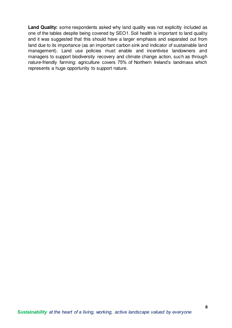Land Quality: some respondents asked why land quality was not explicitly included as one of the tables despite being covered by SEO1. Soil health is important to land quality and it was suggested that this should have a larger emphasis and separated out from land due to its importance (as an important carbon sink and indicator of sustainable land management). Land use policies must enable and incentivise landowners and managers to support biodiversity recovery and climate change action, such as through nature-friendly farming: agriculture covers 75% of Northern Ireland's landmass which represents a huge opportunity to support nature.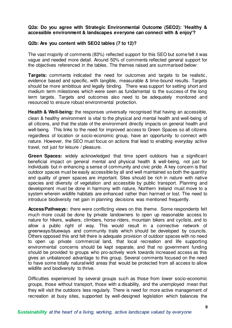#### **Q2a: Do you agree with Strategic Environmental Outcome (SEO2): 'Healthy & accessible environment & landscapes everyone can connect with & enjoy'?**

#### **Q2b: Are you content with SEO2 tables (7 to 12)?**

The vast majority of comments (83%) reflected support for this SEO but some felt it was vague and needed more detail. Around 50% of comments reflected general support for the objectives referenced in the tables. The themes raised are summarised below:

**Targets:** comments indicated the need for outcomes and targets to be realistic, evidence based and specific, with tangible, measurable & time-bound results. Targets should be more ambitious and legally binding. There was support for setting short and medium term milestones which were seen as fundamental to the success of the long term targets. Targets and outcomes also need to be adequately monitored and resourced to ensure robust environmental protection.

**Health & Well-being:** the responses universally recognised that having an accessible, clean & healthy environment is vital to the physical and mental health and well-being of all citizens, and that the state of the environment directly impacts on general health and well-being. This links to the need for improved access to Green Spaces so all citizens regardless of location or socio-economic group, have an opportunity to connect with nature. However, the SEO must focus on actions that lead to enabling everyday active travel, not just for leisure / pleasure.

**Green Spaces:** widely acknowledged that time spent outdoors has a significant beneficial impact on general mental and physical health & well-being, not just for individuals but in enhancing a sense of community and civic pride. A key concern is that outdoor spaces must be easily accessible by all and well maintained so both the quantity and quality of green spaces are important. Sites should be rich in nature with native species and diversity of vegetation and accessible by public transport. Planning and development must be done in harmony with nature, Northern Ireland must move to a system wherein wildlife habitats are enhanced rather than harmed or lost. The need to introduce biodiversity net gain in planning decisions was mentioned frequently.

**Access/Pathways:** there were conflicting views on this theme. Some respondents felt much more could be done by private landowners to open up reasonable access to nature for hikers, walkers, climbers, horse riders, mountain bikers and cyclists, and to allow a public right of way. This would result in a connective network of greenways/blueways and community trails which should be developed by councils. Others opposed this and felt there is adequate provision of outdoor spaces with no need to open up private commercial land, that local recreation and life supporting environmental concerns should be kept separate, and that no government funding should be provided to groups who pro-actively work towards increased access as this gives an unbalanced advantage to this group. Several comments focused on the need to have some totally natural/wild areas that would be protected from all access to allow wildlife and biodiversity to thrive.

Difficulties experienced by several groups such as those from lower socio-economic groups, those without transport, those with a disability, and the unemployed mean that they will visit the outdoors less regularly. There is need for more active management of recreation at busy sites, supported by well-designed legislation which balances the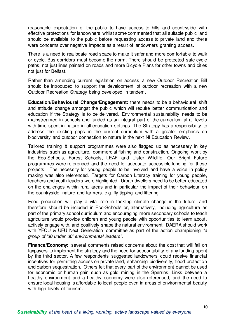reasonable expectation of the public to have access to hills and countryside with effective protections for landowners whilst some commented that all suitable public land should be available to the public before requesting access to private land and there were concerns over negative impacts as a result of landowners granting access.

There is a need to reallocate road space to make it safer and more comfortable to walk or cycle. Bus corridors must become the norm. There should be protected safe cycle paths, not just lines painted on roads and more Bicycle Plans for other towns and cities not just for Belfast.

Rather than amending current legislation on access, a new Outdoor Recreation Bill should be introduced to support the development of outdoor recreation with a new Outdoor Recreation Strategy being developed in tandem.

**Education/Behavioural Change/Engagement:** there needs to be a behavioural shift and attitude change amongst the public which will require better communication and education if the Strategy is to be delivered. Environmental sustainability needs to be mainstreamed in schools and funded as an integral part of the curriculum at all levels with time spent in nature in all education settings. The Strategy has a responsibility to address the existing gaps in the current curriculum with a greater emphasis on biodiversity and outdoor connection to nature in the next NI Education Review.

Tailored training & support programmes were also flagged up as necessary in key industries such as agriculture, commercial fishing and construction. Ongoing work by the Eco-Schools, Forest Schools, LEAF and Ulster Wildlife, Our Bright Future programmes were referenced and the need for adequate accessible funding for these projects. The necessity for young people to be involved and have a voice in policy making was also referenced. Targets for Carbon Literacy training for young people, teachers and youth leaders were highlighted. Urban dwellers need to be better educated on the challenges within rural areas and in particular the impact of their behaviour on the countryside, nature and farmers, e.g. fly-tipping and littering.

Food production will play a vital role in tackling climate change in the future, and therefore should be included in Eco-Schools or, alternatively, including agriculture as part of the primary school curriculum and encouraging more secondary schools to teach agriculture would provide children and young people with opportunities to learn about, actively engage with, and positively shape the natural environment. DAERA should work with YFCU & UFU Next Generation committee as part of the action championing *"a group of '30 under 30' environmental leaders"*.

**Finance/Economy:** several comments raised concerns about the cost that will fall on taxpayers to implement the strategy and the need for accountability of any funding spent by the third sector. A few respondents suggested landowners could receive financial incentives for permitting access on private land, enhancing biodiversity, flood protection and carbon sequestration. Others felt that every part of the environment cannot be used for economic or human gain such as gold mining in the Sperrins. Links between a healthy environment and a healthy economy were also referenced, and the need to ensure local housing is affordable to local people even in areas of environmental beauty with high levels of tourism.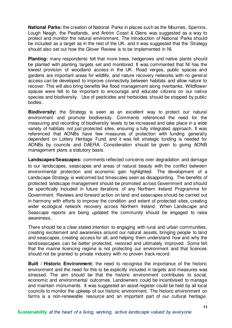**National Parks:** the creation of National Parks in places such as the Mournes, Sperrins, Lough Neagh, the Peatlands, and Antrim Coast & Glens was suggested as a way to protect and monitor the natural environment. The introduction of National Parks should be included as a target as in the rest of the UK, and it was suggested that the Strategy should also set out how the Glover Review is to be implemented in NI.

**Planting:** many respondents felt that more trees, hedgerows and native plants should be planted with planting targets set and monitored. It was commented that NI has the lowest provision of woodland access in the UK. Road verges, public spaces and gardens are important areas for wildlife, and nature recovery networks with no general access can be developed to improve connectivity between habitats and allow nature to recover. This will also bring benefits like flood management along riverbanks. Wildflower spaces were felt to be important to encourage and educate citizens on our native species and biodiversity. Use of pesticides and herbicides should be stopped by public bodies.

**Biodiversity:** the Strategy is seen as an excellent way to protect our natural environment and promote biodiversity. Comments referenced the need for the measuring and recording of biodiversity levels to be increased and take place in a wide variety of habitats not just protected sites, ensuring a fully integrated approach. It was referenced that AONBs have few measures of protection with funding generally dependent on Lottery Heritage Fund, and it was felt strategic funding is needed for AONBs by councils and DAERA. Consideration should be given to giving AONB management plans a statutory basis.

**Landscapes/Seascapes:** comments reflected concerns over degradation and damage to our landscapes, seascapes and areas of natural beauty with the conflict between environmental protection and economic gain highlighted. The development of a Landscape Strategy is welcomed but timescales seen as disappointing. The benefits of protected landscape management should be promoted across Government and should be specifically included in future iterations of any Northern Ireland Programme for Government. Reviews and forward action on land and seascapes should be carried out in harmony with efforts to improve the condition and extent of protected sites, creating wider ecological network recovery across Northern Ireland. When Landscape and Seascape reports are being updated the community should be engaged to raise awareness.

There should be a clear stated intention to engaging with rural and urban communities, creating excitement and awareness around our natural assets, bringing people to land and seascapes, creating access for all, and helping them understand how and why the land/seascapes can be better protected, restored and ultimately improved. Some felt that the marine licencing regime is not protecting our environment and that licences should not be granted to private industry with no proven track record.

**Built / Historic Environment:** the need to recognise the importance of the historic environment and the need for this to be explicitly included in targets and measures was stressed. The aim should be that the historic environment contributes to social, economic and environmental outcomes. Landowners could be incentivised to manage and maintain monuments. It was suggested an asset register could be held by all local councils to monitor the upkeep of our historic environment. The historic environment on farms is a non-renewable resource and an important part of our cultural heritage.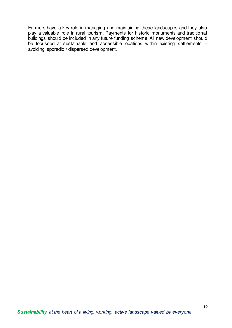Farmers have a key role in managing and maintaining these landscapes and they also play a valuable role in rural tourism. Payments for historic monuments and traditional buildings should be included in any future funding scheme. All new development should be focussed at sustainable and accessible locations within existing settlements – avoiding sporadic / dispersed development.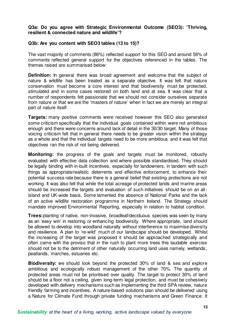#### **Q3a: Do you agree with Strategic Environmental Outcome (SEO3): 'Thriving, resilient & connected nature and wildlife'?**

#### **Q3b: Are you content with SEO3 tables (13 to 15)?**

The vast majority of comments (86%) reflected support for this SEO and around 56% of comments reflected general support for the objectives referenced in the tables. The themes raised are summarised below:

**Definition:** In general there was broad agreement and welcome that the subject of nature & wildlife has been treated as a separate objective. It was felt that nature conservation must become a core interest and that biodiversity must be protected, stimulated and in some cases restored on both land and at sea. It was clear that a number of respondents felt passionate that we should not consider ourselves separate from nature or that we are the 'masters of nature' when in fact we are merely an integral part of nature itself.

**Targets:** many positive comments were received however this SEO also generated some criticism specifically that the individual goals contained within were not ambitious enough and there were concerns around lack of detail in the 30/30 target. Many of those voicing criticism felt that in general there needs to be greater vision within the strategy as a whole and that the individual targets need to be more ambitious and it was felt that objectives ran the risk of not being delivered.

**Monitoring:** the progress of the goals and targets must be monitored, robustly evaluated with effective data collection and where possible standardised. They should be legally binding with in-built incentives, especially for landowners, in tandem with such things as appropriate/realistic deterrents and effective enforcement, to enhance their potential success rate because there is a general belief that existing protections are not working. It was also felt that while the total acreage of protected lands and marine areas should be increased the targets and evaluation of such initiatives should be on an allisland and UK-wide basis. Some lamented the absence of National Parks and the lack of an active wildlife restoration programme in Northern Ireland. The Strategy should mandate improved Environmental Reporting, especially in relation to habitat condition.

**Trees:** planting of native, non-invasive, broadleaf/deciduous species was seen by many as an 'easy win' in restoring or enhancing biodiversity. Where appropriate, land should be allowed to develop into woodland naturally without interference to maximise diversity and resilience. A plan to 're-wild' much of our landscape should be developed. Whilst the increasing of the target was proposed it should be approached strategically and often came with the proviso that in the rush to plant more trees this laudable exercise should not be to the detriment of other naturally occurring land uses namely, wetlands, peatlands, marches, estuaries etc.

**Biodiversity:** we should look beyond the protected 30% of land & sea and explore ambitious and ecologically robust management of the other 70%. The quantity of protected areas must not be prioritised over quality. The target to protect 30% of land should be a floor not a ceiling, given long-term legal protection, and must be cohesively developed with delivery mechanisms such as implementing the third SPA review, nature friendly farming and incentives. A nature-based solutions plan should be delivered using a Nature for Climate Fund through private funding mechanisms and Green Finance. It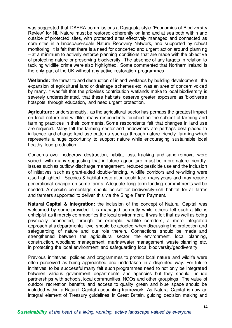was suggested that DAERA commissions a Dasgupta-style 'Economics of Biodiversity Review' for NI. Nature must be restored coherently on land and at sea both within and outside of protected sites, with protected sites effectively managed and connected as core sites in a landscape-scale Nature Recovery Network, and supported by robust monitoring. It is felt that there is a need for concerted and urgent action around planning – at a minimum to actively enforce planning conditions that are made with the objective of protecting nature or preserving biodiversity. The absence of any targets in relation to tackling wildlife crime were also highlighted. Some commented that Northern Ireland is the only part of the UK without any active restoration programmes.

**Wetlands:** the threat to and destruction of inland wetlands by building development, the expansion of agricultural land or drainage schemes etc. was an area of concern voiced by many. It was felt that the priceless contribution wetlands make to local biodiversity is severely underestimated, that these habitats deserve greater exposure as 'biodiverse hotspots' through education, and need urgent protection.

**Agriculture:** understandably, as the agricultural sector has perhaps the greatest impact on local nature and wildlife, many respondents touched on the subject of farming and farming practices in their comments. Some respondents felt that changes in land use are required. Many felt the farming sector and landowners are perhaps best placed to influence and change land use patterns such as through nature-friendly farming which represents a huge opportunity to support nature while encouraging sustainable local healthy food production.

Concerns over hedgerow destruction, habitat loss, fracking and sand-removal were voiced, with many suggesting that in future agriculture must be more nature-friendly. Issues such as outflow discharge management, reduced pesticide use and the inclusion of initiatives such as grant-aided double-fencing, wildlife corridors and re-wilding were also highlighted. Species & habitat restoration could take many years and may require generational change on some farms. Adequate long term funding commitments will be needed. A specific percentage should be set for biodiversity-rich habitat for all farms and farmers supported to deliver this via the Single Farm Payment.

**Natural Capital & Integration:** the inclusion of the concept of Natural Capital was welcomed by some provided it is managed correctly while others felt such a title is unhelpful as it merely commodifies the local environment. It was felt that as well as being physically connected, through for example, wildlife corridors, a more integrated approach at a departmental level should be adopted when discussing the protection and safeguarding of nature and our role therein. Connections should be made and strengthened between the agricultural sector, the environment, local planning, construction, woodland management, marine/water management, waste planning etc. in protecting the local environment and safeguarding local biodiversity/geodiversity.

Previous initiatives, policies and programmes to protect local nature and wildlife were often perceived as being approached and undertaken in a disjointed way. For future initiatives to be successful many felt such programmes need to not only be integrated between various government departments and agencies but they should include partnerships with schools, local communities, NGOs and other groupings. The value of outdoor recreation benefits and access to quality green and blue space should be included within a Natural Capital accounting framework. As Natural Capital is now an integral element of Treasury guidelines in Great Britain, guiding decision making and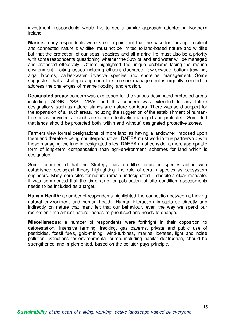investment, respondents would like to see a similar approach adopted in Northern Ireland.

**Marine:** many respondents were keen to point out that the case for 'thriving, resilient and connected nature & wildlife' must not be limited to land-based nature and wildlife but that the protection of our seas, seabirds and all marine-life must also be a priority with some respondents questioning whether the 30% of land and water will be managed and protected effectively. Others highlighted the unique problems facing the marine environment – citing issues including effluent discharge, raw sewage, bottom trawling, algal blooms, ballast-water invasive species and shoreline management. Some suggested that a strategic approach to shoreline management is urgently needed to address the challenges of marine flooding and erosion.

**Designated areas:** concern was expressed for the various designated protected areas including: AONB, ASSI, MPAs and this concern was extended to any future designations such as nature islands and nature corridors. There was solid support for the expansion of all such areas, including the suggestion of the establishment of humanfree areas provided all such areas are effectively managed and protected. Some felt that lands should be protected both 'within and without' designated protective zones.

Farmers view formal designations of more land as having a landowner imposed upon them and therefore being counterproductive. DAERA must work in true partnership with those managing the land in designated sites. DAERA must consider a more appropriate form of long-term compensation than agri-environment schemes for land which is designated.

Some commented that the Strategy has too little focus on species action with established ecological theory highlighting the role of certain species as ecosystem engineers. Many core sites for nature remain undesignated – despite a clear mandate. It was commented that the timeframe for publication of site condition assessments needs to be included as a target.

**Human Health:** a number of respondents highlighted the connection between a thriving natural environment and human health. Human interaction impacts so directly and indirectly on nature that many felt that our behaviour, even the way we spend our recreation time amidst nature, needs re-prioritised and needs to change.

**Miscellaneous:** a number of respondents were forthright in their opposition to deforestation, intensive farming, fracking, gas caverns, private and public use of pesticides, fossil fuels, gold-mining, wind-turbines, marine licenses, light and noise pollution. Sanctions for environmental crime, including habitat destruction, should be strengthened and implemented, based on the polluter pays principle.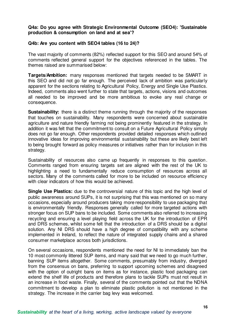#### **Q4a: Do you agree with Strategic Environmental Outcome (SEO4): 'Sustainable production & consumption on land and at sea'?**

#### **Q4b: Are you content with SEO4 tables (16 to 24)?**

The vast majority of comments (82%) reflected support for this SEO and around 54% of comments reflected general support for the objectives referenced in the tables. The themes raised are summarised below:

**Targets/Ambition:** many responses mentioned that targets needed to be SMART in this SEO and did not go far enough. The perceived lack of ambition was particularly apparent for the sections relating to Agricultural Policy, Energy and Single Use Plastics. Indeed, comments also went further to state that targets, actions, visions and outcomes all needed to be improved and be more ambitious to evoke any real change or consequence.

**Sustainability:** there is a distinct theme running through the majority of the responses that touches on sustainability. Many respondents were concerned about sustainable agriculture and nature friendly farming not being prominently featured in the strategy. In addition it was felt that the commitment to consult on a Future Agricultural Policy simply does not go far enough. Other respondents provided detailed responses which outlined innovative ideas for improving environmental sustainability but these are likely best left to being brought forward as policy measures or initiatives rather than for inclusion in this strategy.

Sustainability of resources also came up frequently in responses to this question. Comments ranged from ensuring targets set are aligned with the rest of the UK to highlighting a need to fundamentally reduce consumption of resources across all sectors. Many of the comments called for more to be included on resource efficiency with clear indicators of how this would be achieved.

**Single Use Plastics:** due to the controversial nature of this topic and the high level of public awareness around SUPs, it is not surprising that this was mentioned on so many occasions, especially around producers taking more responsibility to use packaging that is environmentally friendly. Responses generally called for more targeted actions with stronger focus on SUP bans to be included. Some comments also referred to increasing recycling and ensuring a level playing field across the UK for the introduction of EPR and DRS schemes, whilst some felt that the introduction of a DRS should be a digital solution. Any NI DRS should have a high degree of compatibility with any scheme implemented in Ireland, to reflect the nature of integrated supply chains and a shared consumer marketplace across both jurisdictions.

On several occasions, respondents mentioned the need for NI to immediately ban the 10 most commonly littered SUP items, and many said that we need to go much further, banning SUP items altogether. Some comments, presumably from industry, diverged from the consensus on bans, preferring to support upcoming schemes and disagreed with the option of outright bans on items as for instance, plastic food packaging can extend the shelf life of products and therefore plans to tackle SUPs must not result in an increase in food waste. Finally, several of the comments pointed out that the NDNA commitment to develop a plan to eliminate plastic pollution is not mentioned in the strategy. The increase in the carrier bag levy was welcomed.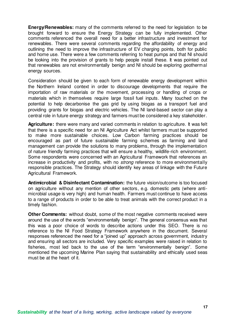**Energy/Renewables:** many of the comments referred to the need for legislation to be brought forward to ensure the Energy Strategy can be fully implemented. Other comments referenced the overall need for a better infrastructure and investment for renewables. There were several comments regarding the affordability of energy and outlining the need to improve the infrastructure of EV charging points, both for public and home use. There were a few comments referring to heat pumps and that NI should be looking into the provision of grants to help people install these. It was pointed out that renewables are not environmentally benign and NI should be exploring geothermal energy sources.

Consideration should be given to each form of renewable energy development within the Northern Ireland context in order to discourage developments that require the importation of raw materials or the movement, processing or handling of crops or materials which in themselves require large fossil fuel inputs. Many touched on the potential to help decarbonise the gas grid by using biogas as a transport fuel and providing grants for biogas and electric vehicles. The NI land-based sector can play a central role in future energy strategy and farmers must be considered a key stakeholder.

**Agriculture:** there were many and varied comments in relation to agriculture. It was felt that there is a specific need for an NI Agriculture Act whilst farmers must be supported to make more sustainable choices. Low Carbon farming practices should be encouraged as part of future sustainable farming schemes as farming and land management can provide the solutions to many problems, through the implementation of nature friendly farming practices that will ensure a healthy, wildlife-rich environment. Some respondents were concerned with an Agricultural Framework that references an increase in productivity and profits, with no *strong* reference to more environmentally responsible practices. The Strategy should identify key areas of linkage with the Future Agricultural Framework.

**Antimicrobial & Disinfectant Contamination:** the future vision/outcome is too focused on agriculture without any mention of other sectors, e.g. domestic pets (where antimicrobial usage is very high) and human health. Farmers must continue to have access to a range of products in order to be able to treat animals with the correct product in a timely fashion.

**Other Comments:** without doubt, some of the most negative comments received were around the use of the words "environmentally benign". The general consensus was that this was a poor choice of words to describe actions under this SEO. There is no reference to the NI Food Strategy Framework anywhere in the document. Several responses referenced the need for a "joined up" approach across government, industry and ensuring all sectors are included. Very specific examples were raised in relation to fisheries, most led back to the use of the term "environmentally benign". Some mentioned the upcoming Marine Plan saying that sustainability and ethically used seas must be at the heart of it.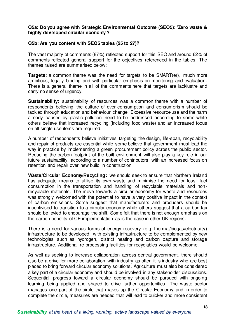#### **Q5a: Do you agree with Strategic Environmental Outcome (SEO5): 'Zero waste & highly developed circular economy'?**

#### **Q5b: Are you content with SEO5 tables (25 to 27)?**

The vast majority of comments (87%) reflected support for this SEO and around 62% of comments reflected general support for the objectives referenced in the tables. The themes raised are summarised below:

**Targets:** a common theme was the need for targets to be SMART(er), much more ambitious, legally binding and with particular emphasis on monitoring and evaluation. There is a general theme in all of the comments here that targets are lacklustre and carry no sense of urgency.

**Sustainability:** sustainability of resources was a common theme with a number of respondents believing the culture of over-consumption and consumerism should be tackled through education and behaviour change. Excessive resource use and the harm already caused by plastic pollution need to be addressed according to some while others believe that increased recycling (including food waste) and an increased focus on all single use items are required.

A number of respondents believe initiatives targeting the design, life-span, recyclability and repair of products are essential while some believe that government must lead the way in practice by implementing a green procurement policy across the public sector. Reducing the carbon footprint of the built environment will also play a key role in our future sustainability, according to a number of contributors, with an increased focus on retention and repair over new build in construction.

Waste/Circular Economy/Recycling: we should seek to ensure that Northern Ireland has adequate means to utilise its own waste and minimise the need for fossil fuel consumption in the transportation and handling of recyclable materials and nonrecyclable materials. The move towards a circular economy for waste and resources was strongly welcomed with the potential to have a very positive impact in the context of carbon emissions. Some suggest that manufacturers and producers should be incentivised to transition to a circular economy while others suggest that a carbon tax should be levied to encourage the shift. Some felt that there is not enough emphasis on the carbon benefits of CE implementation as is the case in other UK regions.

There is a need for various forms of energy recovery (e.g. thermal/biogas/electricity) infrastructure to be developed, with existing infrastructure to be complemented by new technologies such as hydrogen, district heating and carbon capture and storage infrastructure. Additional re-processing facilities for recyclables would be welcome.

As well as seeking to increase collaboration across central government, there should also be a drive for more collaboration with industry as often it is industry who are best placed to bring forward circular economy solutions. Agriculture must also be considered a key part of a circular economy and should be involved in any stakeholder discussions. Sequential progress toward a circular economy should be pursued with ongoing learning being applied and shared to drive further opportunities. The waste sector manages one part of the circle that makes up the Circular Economy and in order to complete the circle, measures are needed that will lead to quicker and more consistent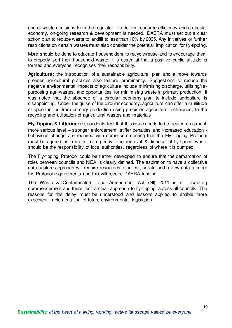end of waste decisions from the regulator. To deliver resource efficiency and a circular economy, on-going research & development is needed. DAERA must set out a clear action plan to reduce waste to landfill to less than 10% by 2035. Any initiatives or further restrictions on certain wastes must also consider the potential implication for fly-tipping.

More should be done to educate householders to recycle/reuse and to encourage them to properly sort their household waste. It is essential that a positive public attitude is formed and everyone recognises their responsibility.

**Agriculture:** the introduction of a sustainable agricultural plan and a move towards greener agricultural practices also feature prominently. Suggestions to reduce the negative environmental impacts of agriculture include minimising discharge, utilising/repurposing agri-wastes, and opportunities for minimising waste in primary production. It was noted that the absence of a circular economy plan to include agriculture is disappointing. Under the guise of the circular economy, agriculture can offer a multitude of opportunities from primary production using precision agriculture techniques, to the recycling and utilisation of agricultural wastes and materials

**Fly-Tipping & Littering:** respondents feel that this issue needs to be treated on a much more serious level – stronger enforcement, stiffer penalties and increased education / behaviour change are required with some commenting that the Fly-Tipping Protocol must be agreed as a matter of urgency. The removal & disposal of fly-tipped waste should be the responsibility of local authorities, regardless of where it is dumped.

The Fly-tipping Protocol could be further developed to ensure that the demarcation of roles between councils and NIEA is clearly defined. The aspiration to have a collective data capture approach will require resources to collect, collate and review data to meet the Protocol requirements and this will require DAERA funding.

The Waste & Contaminated Land Amendment Act (NI) 2011 is still awaiting commencement and there isn't a clear approach to fly-tipping across all councils. The reasons for this delay must be understood and lessons applied to enable more expedient implementation of future environmental legislation.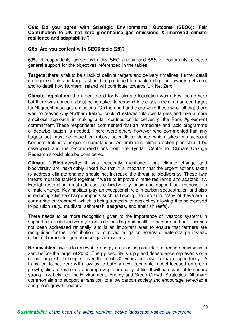#### **Q6a: Do you agree with Strategic Environmental Outcome (SEO6): 'Fair Contribution to UK net zero greenhouse gas emissions & improved climate resilience and adaptability'?**

#### **Q6b: Are you content with SEO6 table (28)?**

69% of respondents agreed with this SEO and around 55% of comments reflected general support for the objectives referenced in the tables.

**Targets:** there is felt to be a lack of definite targets and delivery timelines, further detail on requirements and targets should be produced to enable mitigation towards net zero, and to detail how Northern Ireland will contribute towards UK Net Zero.

**Climate legislation:** the urgent need for NI climate legislation was a key theme here but there was concern about being asked to respond in the absence of an agreed target for NI greenhouse gas emissions. On the one hand there were those who felt that there was no reason why Northern Ireland couldn't establish its own targets and take a more ambitious approach in making a fair contribution to delivering the Paris Agreement commitment. These respondents commented that an immediate and rapid programme of decarbonisation is needed. There were others however who commented that any targets set must be based on robust scientific evidence which takes into account Northern Ireland's unique circumstances. An ambitious climate action plan should be developed and the recommendations from the Tyndall Centre for Climate Change Research should also be considered.

**Climate / Biodiversity:** it was frequently mentioned that climate change and biodiversity are inextricably linked but that it is important that the urgent actions taken to address climate change should not increase the threat to biodiversity. These twin threats must be tackled together if we're to improve climate resilience and adaptability. Habitat restoration must address the biodiversity crisis and support our response to climate change. Key habitats play an exceptional role in carbon sequestration and also in reducing climate change impacts such as flooding and erosion. Many of these are in our marine environment, which is being treated with neglect by allowing it to be exposed to pollution (e.g., mudflats, saltmarsh, seagrass, and shellfish reefs).

There needs to be more recognition given to the importance of livestock systems in supporting a rich biodiversity alongside building soil health to capture carbon. This has not been addressed rationally and is an important area to ensure that farmers are recognised for their contribution to improved mitigation against climate change instead of being blamed for greenhouse gas emissions.

**Renewables:** switch to renewable energy as soon as possible and reduce emissions to zero before the target of 2050. Energy security, supply and dependence represents one of our biggest challenges over the next 30 years but also a major opportunity. A transition to net zero will allow us to build a new economic model focused on green growth, climate resilience and improving our quality of life. It will be essential to ensure strong links between the Environment, Energy and Green Growth Strategies. All share common aims to support a transition to a low carbon society and encourage renewable and green growth sectors.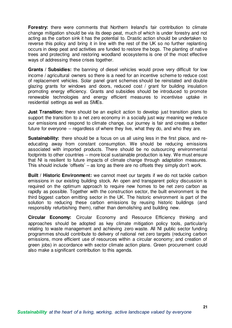**Forestry:** there were comments that Northern Ireland's fair contribution to climate change mitigation should be via its deep peat, much of which is under forestry and not acting as the carbon sink it has the potential to. Drastic action should be undertaken to reverse this policy and bring it in line with the rest of the UK so no further replanting occurs in deep peat and activities are funded to restore the bogs. The planting of native trees and protecting and restoring woodland ecosystems is one of the most effective ways of addressing these crises together.

**Grants / Subsidies:** the banning of diesel vehicles would prove very difficult for low income / agricultural owners so there is a need for an incentive scheme to reduce cost of replacement vehicles. Solar panel grant schemes should be reinstated and double glazing grants for windows and doors, reduced cost / grant for building insulation promoting energy efficiency. Grants and subsidies should be introduced to promote renewable technologies and energy efficient measures to incentivise uptake in residential settings as well as SMEs.

**Just Transition:** there should be an explicit action to develop just transition plans to support the transition to a net zero economy in a socially just way meaning we reduce our emissions and respond to climate change, our journey is fair and creates a better future for everyone – regardless of where they live, what they do, and who they are.

**Sustainability:** there should be a focus on us all using less in the first place, and reeducating away from constant consumption. We should be reducing emissions associated with imported products. There should be no outsourcing environmental footprints to other countries – more local sustainable production is key. We must ensure that NI is resilient to future impacts of climate change through adaptation measures. This should include 'offsets' – as long as there are no offsets they simply don't work.

**Built / Historic Environment:** we cannot meet our targets if we do not tackle carbon emissions in our existing building stock. An open and transparent policy discussion is required on the optimum approach to require new homes to be net zero carbon as rapidly as possible. Together with the construction sector, the built environment is the third biggest carbon emitting sector in the UK. The historic environment is part of the solution to reducing these carbon emissions by reusing historic buildings (and responsibly refurbishing them), rather than demolishing and building new.

**Circular Economy:** Circular Economy and Resource Efficiency thinking and approaches should be adopted as key climate mitigation policy tools, particularly relating to waste management and achieving zero waste. All NI public sector funding programmes should contribute to delivery of national net zero targets (reducing carbon emissions, more efficient use of resources within a circular economy; and creation of green jobs) in accordance with sector climate action plans. Green procurement could also make a significant contribution to this agenda.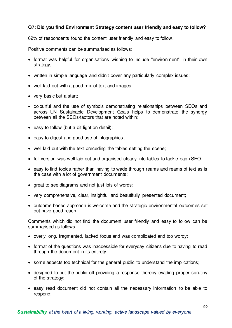## **Q7: Did you find Environment Strategy content user friendly and easy to follow?**

62% of respondents found the content user friendly and easy to follow.

Positive comments can be summarised as follows:

- format was helpful for organisations wishing to include "environment" in their own strategy;
- written in simple language and didn't cover any particularly complex issues;
- well laid out with a good mix of text and images;
- very basic but a start:
- colourful and the use of symbols demonstrating relationships between SEOs and across UN Sustainable Development Goals helps to demonstrate the synergy between all the SEOs/factors that are noted within;
- $\bullet$  easy to follow (but a bit light on detail);
- easy to digest and good use of infographics;
- well laid out with the text preceding the tables setting the scene;
- full version was well laid out and organised clearly into tables to tackle each SEO;
- easy to find topics rather than having to wade through reams and reams of text as is the case with a lot of government documents;
- great to see diagrams and not just lots of words;
- very comprehensive, clear, insightful and beautifully presented document;
- outcome based approach is welcome and the strategic environmental outcomes set out have good reach.

Comments which did not find the document user friendly and easy to follow can be summarised as follows:

- overly long, fragmented, lacked focus and was complicated and too wordy;
- format of the questions was inaccessible for everyday citizens due to having to read through the document in its entirety;
- some aspects too technical for the general public to understand the implications;
- designed to put the public off providing a response thereby evading proper scrutiny of the strategy;
- easy read document did not contain all the necessary information to be able to respond;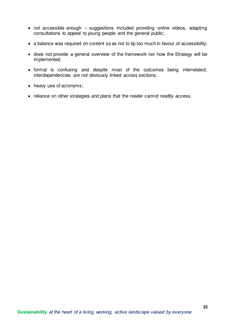- not accessible enough suggestions included providing online videos, adapting consultations to appeal to young people and the general public;
- a balance was required on content so as not to tip too much in favour of accessibility;
- does not provide a general overview of the framework nor how the Strategy will be implemented;
- format is confusing and despite most of the outcomes being interrelated, interdependencies are not obviously linked across sections;
- heavy use of acronyms;
- reliance on other strategies and plans that the reader cannot readily access.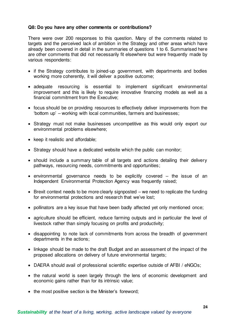#### **Q8: Do you have any other comments or contributions?**

There were over 200 responses to this question. Many of the comments related to targets and the perceived lack of ambition in the Strategy and other areas which have already been covered in detail in the summaries of questions 1 to 6. Summarised here are other comments that did not necessarily fit elsewhere but were frequently made by various respondents:

- if the Strategy contributes to joined-up government, with departments and bodies working more coherently, it will deliver a positive outcome;
- adequate resourcing is essential to implement significant environmental improvement and this is likely to require innovative financing models as well as a financial commitment from the Executive;
- focus should be on providing resources to effectively deliver improvements from the 'bottom up' – working with local communities, farmers and businesses;
- Strategy must not make businesses uncompetitive as this would only export our environmental problems elsewhere;
- keep it realistic and affordable;
- Strategy should have a dedicated website which the public can monitor;
- should include a summary table of all targets and actions detailing their delivery pathways, resourcing needs, commitments and opportunities;
- environmental governance needs to be explicitly covered the issue of an Independent Environmental Protection Agency was frequently raised;
- $\bullet$  Brexit context needs to be more clearly signposted we need to replicate the funding for environmental protections and research that we've lost;
- pollinators are a key issue that have been badly affected yet only mentioned once;
- agriculture should be efficient, reduce farming outputs and in particular the level of livestock rather than simply focusing on profits and productivity;
- disappointing to note lack of commitments from across the breadth of government departments in the actions;
- linkage should be made to the draft Budget and an assessment of the impact of the proposed allocations on delivery of future environmental targets;
- DAERA should avail of professional scientific expertise outside of AFBI / eNGOs;
- the natural world is seen largely through the lens of economic development and economic gains rather than for its intrinsic value;
- the most positive section is the Minister's foreword;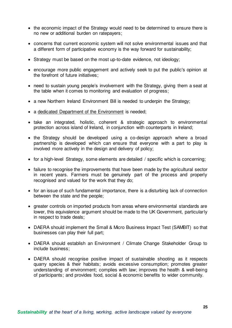- the economic impact of the Strategy would need to be determined to ensure there is no new or additional burden on ratepayers;
- concerns that current economic system will not solve environmental issues and that a different form of participative economy is the way forward for sustainability;
- Strategy must be based on the most up-to-date evidence, not ideology;
- encourage more public engagement and actively seek to put the public's opinion at the forefront of future initiatives;
- need to sustain young people's involvement with the Strategy, giving them a seat at the table when it comes to monitoring and evaluation of progress;
- a new Northern Ireland Environment Bill is needed to underpin the Strategy;
- a dedicated Department of the Environment is needed;
- take an integrated, holistic, coherent & strategic approach to environmental protection across island of Ireland, in conjunction with counterparts in Ireland;
- the Strategy should be developed using a co-design approach where a broad partnership is developed which can ensure that everyone with a part to play is involved more actively in the design and delivery of policy;
- for a high-level Strategy, some elements are detailed / specific which is concerning;
- failure to recognise the improvements that have been made by the agricultural sector in recent years. Farmers must be genuinely part of the process and properly recognised and valued for the work that they do;
- for an issue of such fundamental importance, there is a disturbing lack of connection between the state and the people;
- greater controls on imported products from areas where environmental standards are lower, this equivalence argument should be made to the UK Government, particularly in respect to trade deals;
- DAERA should implement the Small & Micro Business Impact Test (SAMBIT) so that businesses can play their full part;
- DAERA should establish an Environment / Climate Change Stakeholder Group to include business;
- DAERA should recognise positive impact of sustainable shooting as it respects quarry species & their habitats; avoids excessive consumption; promotes greater understanding of environment; complies with law; improves the health & well-being of participants; and provides food, social & economic benefits to wider community.